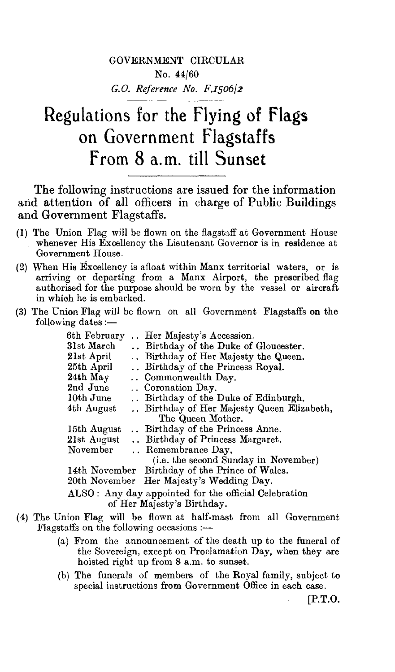## GOVERNMENT CIRCULAR No. 44/60 *G.O. Reference No. F,1506/2*

## Regulations for the Flying of Flags on Government Flagstaffs From 8 a.m. till Sunset

The following instructions are issued for the information and attention of all officers in charge of Public Buildings and Government Flagstaffs.

- (1) The Union Flag will be flown on the flagstaff at Government House whenever His Excellency the Lieutenant Governor is in residence at Government House.
- (2) When His Excellency is afloat within Manx territorial waters, or is arriving or departing from a Manx Airport, the prescribed flag authorised for the purpose should be worn by the vessel or aircraft in which he is embarked.
- (3) The Union Flag will be flown on all Government Flagstaffs on the following dates  $:$   $-$

| 6th February                                         |  | Her Majesty's Accession.                       |
|------------------------------------------------------|--|------------------------------------------------|
| 31st March                                           |  | Birthday of the Duke of Gloucester.            |
| 21st April                                           |  | Birthday of Her Majesty the Queen.             |
| 25th April                                           |  | Birthday of the Princess Royal.                |
| 24th May                                             |  | Commonwealth Day.                              |
| 2nd June                                             |  | Coronation Day.                                |
| 10th June                                            |  | Birthday of the Duke of Edinburgh.             |
| 4th August                                           |  | Birthday of Her Majesty Queen Elizabeth,       |
|                                                      |  | The Queen Mother.                              |
| 15th August                                          |  | Birthday of the Princess Anne.                 |
| 21st August                                          |  | Birthday of Princess Margaret.                 |
| November                                             |  | Remembrance Day,                               |
|                                                      |  | (i.e. the second Sunday in November)           |
|                                                      |  | 14th November Birthday of the Prince of Wales. |
|                                                      |  | 20th November Her Majesty's Wedding Day.       |
| ALSO: Any day appointed for the official Celebration |  |                                                |

of Her Majesty's Birthday.

- (4) The Union Flag will be flown at half-mast from all Government Flagstaffs on the following occasions : $-$ 
	- (a) From the announcement of the death up to the funeral of the Sovereign, except on Proclamation Day, when they are hoisted right up from 8 a.m. to sunset.
	- (b) The funerals of members of the Royal family, subject to special instructions from Government Office in each case.

[P.T.O.